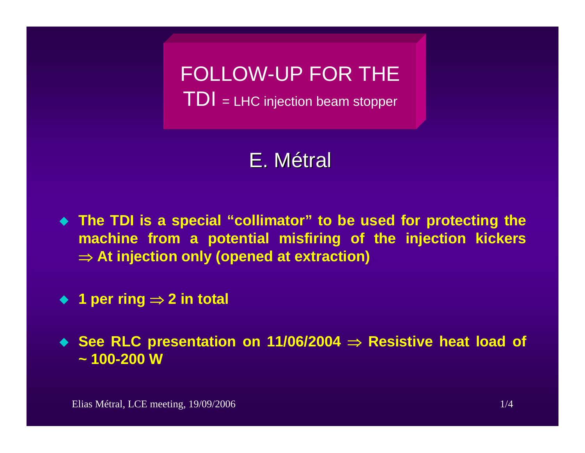FOLLOW-UP FOR THE  $TDI = LHC$  injection beam stopper

## E. Métral

- **The TDI is a special "collimator" to be used for protecting the machine from a potential misfiring of the injection kickers** ⇒ **At injection only (opened at extraction)**
- **1 per ring** <sup>⇒</sup> **2 in total**

 **See RLC presentation on 11/06/2004** <sup>⇒</sup> **Resistive heat load of ~ 100-200 W**

Elias Métral, LCE meeting, 19/09/2006 1/4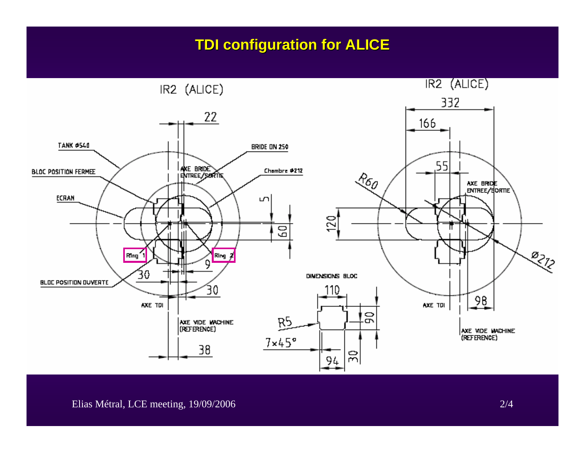## **TDI configuration for ALICE**



Elias Métral, LCE meeting, 19/09/2006 2/4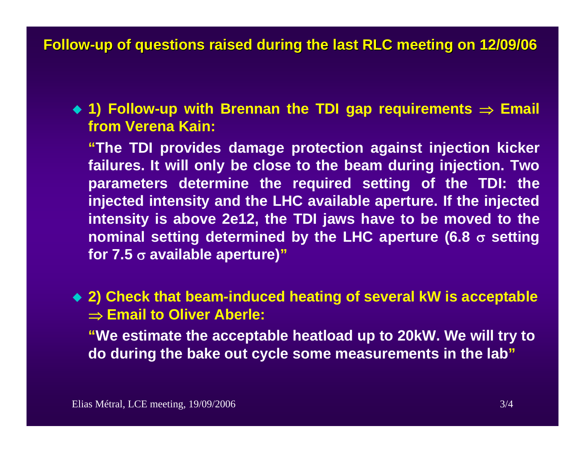## **1) Follow-up with Brennan the TDI gap requirements** <sup>⇒</sup> **Email from Verena Kain:**

**"The TDI provides damage protection against injection kicker failures. It will only be close to the beam during injection. Two parameters determine the required setting of the TDI: the injected intensity and the LHC available aperture. If the injected intensity is above 2e12, the TDI jaws have to be moved to the nominal setting determined by the LHC aperture (6.8** <sup>σ</sup> **setting for 7.5** σ **available aperture)"**

 **2) Check that beam-induced heating of several kW is acceptable**  ⇒ **Email to Oliver Aberle:** 

**"We estimate the acceptable heatload up to 20kW. We will try to do during the bake out cycle some measurements in the lab"**